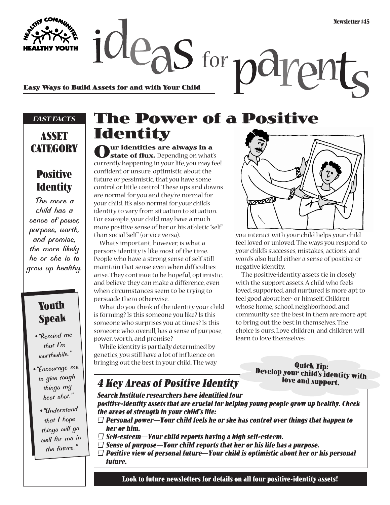$deg_{\mathcal{S}}$  for  $p$ a

#### **Easy Ways to Build Assets for and with Your Child**

#### *FAST FACTS*

## **ASSET CATEGORY**

## **Positive Identity**

*The more a child has a sense of power, purpose, worth, and promise, the more likely he or she is to grow up healthy.*

## **Youth Speak**

- *•"Remind me that I'm worthwhile."*
- *•"Encourage me to give tough things my best shot."*

*•"Understand that I hope things will go well for me in the future."*

## **The Power of a Positive Identity**

**Our identities are always in a state of flux.** Depending on what's currently happening in your life, you may feel confident or unsure, optimistic about the future or pessimistic, that you have some control or little control. These ups and downs are normal for you and they're normal for your child. It's also normal for your child's identity to vary from situation to situation. For example, your child may have a much more positive sense of her or his athletic "self" than social "self" (or vice versa).

What's important, however, is what a person's identity is like most of the time. People who have a strong sense of self still maintain that sense even when difficulties arise. They continue to be hopeful, optimistic, and believe they can make a difference, even when circumstances seem to be trying to persuade them otherwise.

What do you think of the identity your child is forming? Is this someone you like? Is this someone who surprises you at times? Is this someone who, overall, has a sense of purpose, power, worth, and promise?

While identity is partially determined by genetics, you still have a lot of influence on bringing out the best in your child. The way



you interact with your child helps your child feel loved or unloved. The ways you respond to your child's successes, mistakes, actions, and words also build either a sense of positive or negative identity.

The positive-identity assets tie in closely with the support assets. A child who feels loved, supported, and nurtured is more apt to feel good about her- or himself. Children whose home, school, neighborhood, and community see the best in them are more apt to bring out the best in themselves. The choice is ours. Love children, and children will learn to love themselves.

> **Quick Tip: Develop your child's identity with love and support.**

## **4 Key Areas of Positive Identity**

**Search Institute researchers have identified four** 

**positive-identity assets that are crucial for helping young people grow up healthy. Check the areas of strength in your child's life:**

- ❑ **Personal power—Your child feels he or she has control over things that happen to her or him.**
- ❑ **Self-esteem—Your child reports having a high self-esteem.**
- ❑ **Sense of purpose—Your child reports that her or his life has a purpose.**
- ❑ **Positive view of personal future—Your child is optimistic about her or his personal future.**

**Look to future newsletters for details on all four positive-identity assets!**